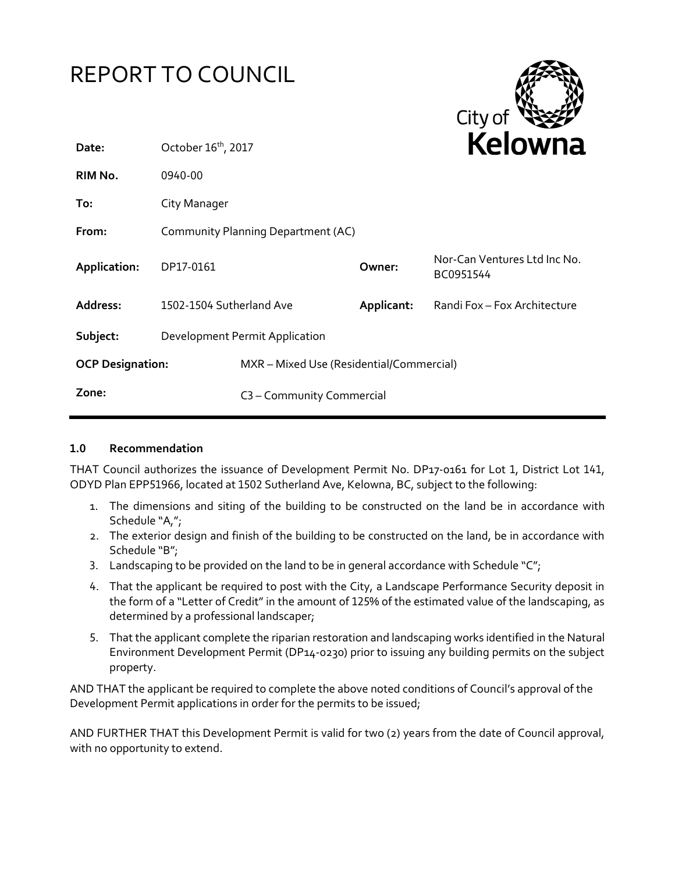

## **1.0 Recommendation**

THAT Council authorizes the issuance of Development Permit No. DP17-0161 for Lot 1, District Lot 141, ODYD Plan EPP51966, located at 1502 Sutherland Ave, Kelowna, BC, subject to the following:

- 1. The dimensions and siting of the building to be constructed on the land be in accordance with Schedule "A,";
- 2. The exterior design and finish of the building to be constructed on the land, be in accordance with Schedule "B";
- 3. Landscaping to be provided on the land to be in general accordance with Schedule " $C$ ";
- 4. That the applicant be required to post with the City, a Landscape Performance Security deposit in the form of a "Letter of Credit" in the amount of 125% of the estimated value of the landscaping, as determined by a professional landscaper;
- 5. That the applicant complete the riparian restoration and landscaping works identified in the Natural Environment Development Permit (DP14-0230) prior to issuing any building permits on the subject property.

AND THAT the applicant be required to complete the above noted conditions of Council's approval of the Development Permit applications in order for the permits to be issued;

AND FURTHER THAT this Development Permit is valid for two (2) years from the date of Council approval, with no opportunity to extend.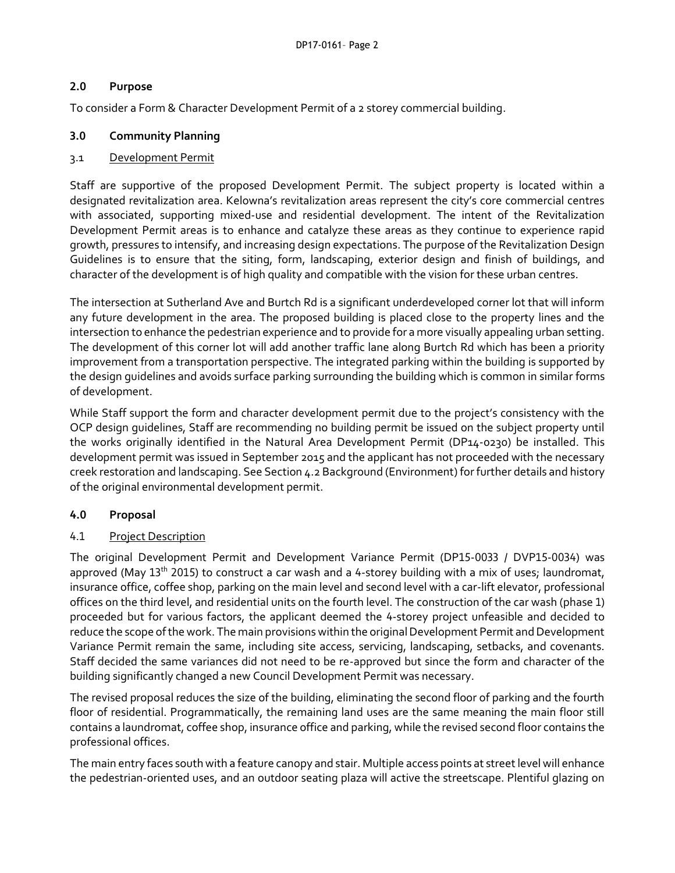## **2.0 Purpose**

To consider a Form & Character Development Permit of a 2 storey commercial building.

## **3.0 Community Planning**

## 3.1 Development Permit

Staff are supportive of the proposed Development Permit. The subject property is located within a designated revitalization area. Kelowna's revitalization areas represent the city's core commercial centres with associated, supporting mixed-use and residential development. The intent of the Revitalization Development Permit areas is to enhance and catalyze these areas as they continue to experience rapid growth, pressures to intensify, and increasing design expectations. The purpose of the Revitalization Design Guidelines is to ensure that the siting, form, landscaping, exterior design and finish of buildings, and character of the development is of high quality and compatible with the vision for these urban centres.

The intersection at Sutherland Ave and Burtch Rd is a significant underdeveloped corner lot that will inform any future development in the area. The proposed building is placed close to the property lines and the intersection to enhance the pedestrian experience and to provide for a more visually appealing urban setting. The development of this corner lot will add another traffic lane along Burtch Rd which has been a priority improvement from a transportation perspective. The integrated parking within the building is supported by the design guidelines and avoids surface parking surrounding the building which is common in similar forms of development.

While Staff support the form and character development permit due to the project's consistency with the OCP design guidelines, Staff are recommending no building permit be issued on the subject property until the works originally identified in the Natural Area Development Permit (DP14-0230) be installed. This development permit was issued in September 2015 and the applicant has not proceeded with the necessary creek restoration and landscaping. See Section 4.2 Background (Environment) for further details and history of the original environmental development permit.

# **4.0 Proposal**

# 4.1 Project Description

The original Development Permit and Development Variance Permit (DP15-0033 / DVP15-0034) was approved (May 13<sup>th</sup> 2015) to construct a car wash and a 4-storey building with a mix of uses; laundromat, insurance office, coffee shop, parking on the main level and second level with a car-lift elevator, professional offices on the third level, and residential units on the fourth level. The construction of the car wash (phase 1) proceeded but for various factors, the applicant deemed the 4-storey project unfeasible and decided to reduce the scope of the work. The main provisions within the original Development Permit and Development Variance Permit remain the same, including site access, servicing, landscaping, setbacks, and covenants. Staff decided the same variances did not need to be re-approved but since the form and character of the building significantly changed a new Council Development Permit was necessary.

The revised proposal reduces the size of the building, eliminating the second floor of parking and the fourth floor of residential. Programmatically, the remaining land uses are the same meaning the main floor still contains a laundromat, coffee shop, insurance office and parking, while the revised second floor contains the professional offices.

The main entry faces south with a feature canopy and stair. Multiple access points at street level will enhance the pedestrian-oriented uses, and an outdoor seating plaza will active the streetscape. Plentiful glazing on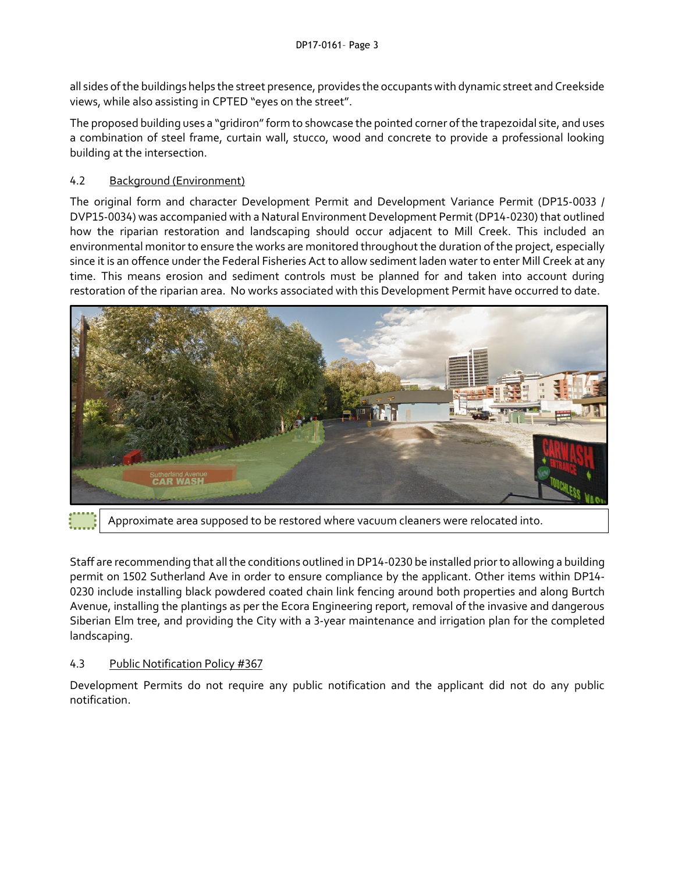all sides of the buildings helps the street presence, provides the occupants with dynamic street and Creekside views, while also assisting in CPTED "eyes on the street".

The proposed building uses a "gridiron" form to showcase the pointed corner of the trapezoidal site, and uses a combination of steel frame, curtain wall, stucco, wood and concrete to provide a professional looking building at the intersection.

## 4.2 Background (Environment)

The original form and character Development Permit and Development Variance Permit (DP15-0033 / DVP15-0034) was accompanied with a Natural Environment Development Permit (DP14-0230) that outlined how the riparian restoration and landscaping should occur adjacent to Mill Creek. This included an environmental monitor to ensure the works are monitored throughout the duration of the project, especially since it is an offence under the Federal Fisheries Act to allow sediment laden water to enter Mill Creek at any time. This means erosion and sediment controls must be planned for and taken into account during restoration of the riparian area. No works associated with this Development Permit have occurred to date.



Approximate area supposed to be restored where vacuum cleaners were relocated into.

Staff are recommending that all the conditions outlined in DP14-0230 be installed prior to allowing a building permit on 1502 Sutherland Ave in order to ensure compliance by the applicant. Other items within DP14- 0230 include installing black powdered coated chain link fencing around both properties and along Burtch Avenue, installing the plantings as per the Ecora Engineering report, removal of the invasive and dangerous Siberian Elm tree, and providing the City with a 3-year maintenance and irrigation plan for the completed landscaping.

## 4.3 Public Notification Policy #367

Development Permits do not require any public notification and the applicant did not do any public notification.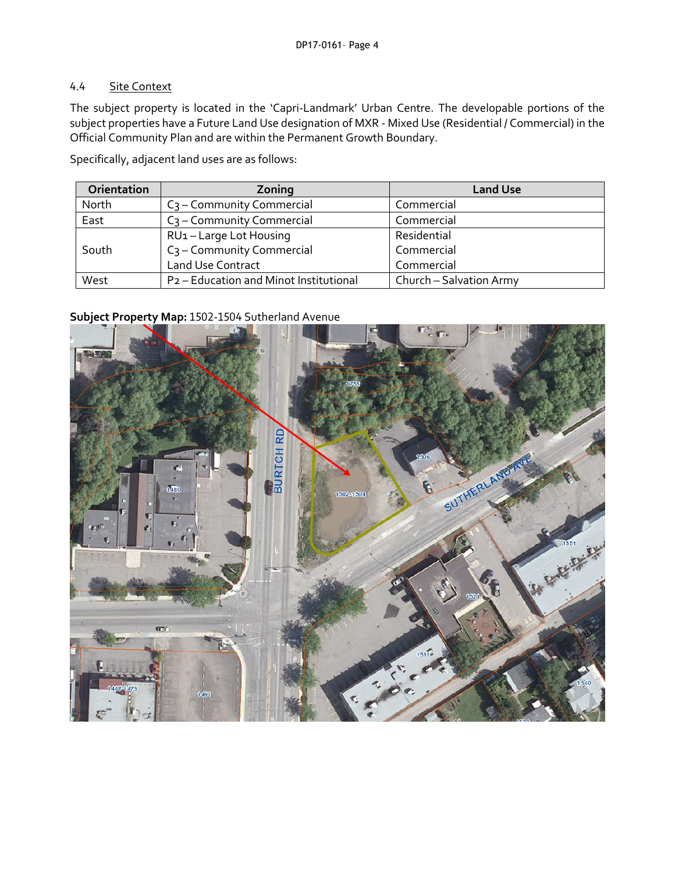### 4.4 Site Context

The subject property is located in the 'Capri-Landmark' Urban Centre. The developable portions of the subject properties have a Future Land Use designation of MXR - Mixed Use (Residential / Commercial) in the Official Community Plan and are within the Permanent Growth Boundary.

Specifically, adjacent land uses are as follows:

| Orientation | Zoning                                             | <b>Land Use</b>         |
|-------------|----------------------------------------------------|-------------------------|
| North       | $C_3$ – Community Commercial                       | Commercial              |
| East        | $C_3$ – Community Commercial                       | Commercial              |
| South       | RU1-Large Lot Housing                              | Residential             |
|             | C <sub>3</sub> - Community Commercial              | Commercial              |
|             | <b>Land Use Contract</b>                           | Commercial              |
| West        | P <sub>2</sub> - Education and Minot Institutional | Church - Salvation Army |

## **Subject Property Map:** 1502-1504 Sutherland Avenue

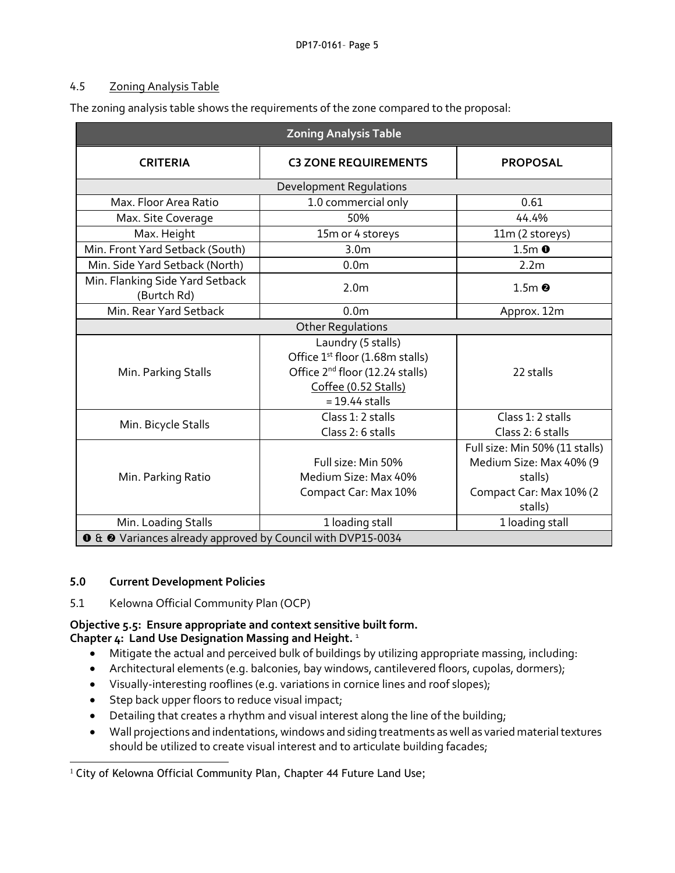## 4.5 Zoning Analysis Table

The zoning analysis table shows the requirements of the zone compared to the proposal:

| <b>Zoning Analysis Table</b>                                              |                                                                                                                                                              |                                                                                                            |  |  |
|---------------------------------------------------------------------------|--------------------------------------------------------------------------------------------------------------------------------------------------------------|------------------------------------------------------------------------------------------------------------|--|--|
| <b>CRITERIA</b>                                                           | <b>C3 ZONE REQUIREMENTS</b>                                                                                                                                  | <b>PROPOSAL</b>                                                                                            |  |  |
| Development Regulations                                                   |                                                                                                                                                              |                                                                                                            |  |  |
| Max. Floor Area Ratio                                                     | 1.0 commercial only                                                                                                                                          | 0.61                                                                                                       |  |  |
| Max. Site Coverage                                                        | 50%                                                                                                                                                          | 44.4%                                                                                                      |  |  |
| Max. Height                                                               | 15m or 4 storeys                                                                                                                                             | 11m (2 storeys)                                                                                            |  |  |
| Min. Front Yard Setback (South)                                           | 3.0 <sub>m</sub>                                                                                                                                             | $1.5m$ $\bullet$                                                                                           |  |  |
| Min. Side Yard Setback (North)                                            | 0.0 <sub>m</sub>                                                                                                                                             | 2.2 <sub>m</sub>                                                                                           |  |  |
| Min. Flanking Side Yard Setback<br>(Burtch Rd)                            | 2.0 <sub>m</sub>                                                                                                                                             | $1.5m$ <sup><math>\odot</math></sup>                                                                       |  |  |
| Min. Rear Yard Setback                                                    | 0.0 <sub>m</sub>                                                                                                                                             | Approx. 12m                                                                                                |  |  |
| <b>Other Regulations</b>                                                  |                                                                                                                                                              |                                                                                                            |  |  |
| Min. Parking Stalls                                                       | Laundry (5 stalls)<br>Office 1 <sup>st</sup> floor (1.68m stalls)<br>Office 2 <sup>nd</sup> floor (12.24 stalls)<br>Coffee (0.52 Stalls)<br>$= 19.44$ stalls | 22 stalls                                                                                                  |  |  |
| Min. Bicycle Stalls                                                       | Class 1: 2 stalls<br>Class 2: 6 stalls                                                                                                                       | Class 1: 2 stalls<br>Class 2: 6 stalls                                                                     |  |  |
| Min. Parking Ratio                                                        | Full size: Min 50%<br>Medium Size: Max 40%<br>Compact Car: Max 10%                                                                                           | Full size: Min 50% (11 stalls)<br>Medium Size: Max 40% (9<br>stalls)<br>Compact Car: Max 10% (2<br>stalls) |  |  |
| Min. Loading Stalls                                                       | 1 loading stall                                                                                                                                              | 1 loading stall                                                                                            |  |  |
| <b>O</b> & <b>@</b> Variances already approved by Council with DVP15-0034 |                                                                                                                                                              |                                                                                                            |  |  |

## **5.0 Current Development Policies**

5.1 Kelowna Official Community Plan (OCP)

# **Objective 5.5: Ensure appropriate and context sensitive built form.**

## **Chapter 4: Land Use Designation Massing and Height.** <sup>1</sup>

- Mitigate the actual and perceived bulk of buildings by utilizing appropriate massing, including:
- Architectural elements (e.g. balconies, bay windows, cantilevered floors, cupolas, dormers);
- Visually-interesting rooflines (e.g. variations in cornice lines and roof slopes);
- Step back upper floors to reduce visual impact;
- Detailing that creates a rhythm and visual interest along the line of the building;
- Wall projections and indentations, windows and siding treatments as well as varied material textures should be utilized to create visual interest and to articulate building facades;

-<sup>1</sup> City of Kelowna Official Community Plan, Chapter 44 Future Land Use;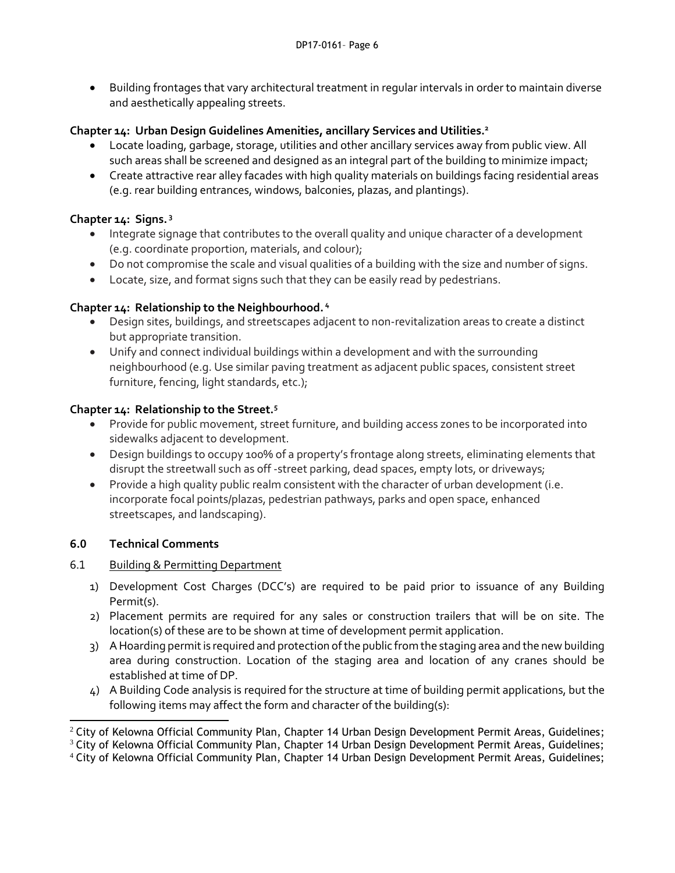Building frontages that vary architectural treatment in regular intervals in order to maintain diverse and aesthetically appealing streets.

## **Chapter 14: Urban Design Guidelines Amenities, ancillary Services and Utilities.<sup>2</sup>**

- Locate loading, garbage, storage, utilities and other ancillary services away from public view. All such areas shall be screened and designed as an integral part of the building to minimize impact;
- Create attractive rear alley facades with high quality materials on buildings facing residential areas (e.g. rear building entrances, windows, balconies, plazas, and plantings).

## **Chapter 14: Signs. 3**

- Integrate signage that contributes to the overall quality and unique character of a development (e.g. coordinate proportion, materials, and colour);
- Do not compromise the scale and visual qualities of a building with the size and number of signs.
- Locate, size, and format signs such that they can be easily read by pedestrians.

## **Chapter 14: Relationship to the Neighbourhood. <sup>4</sup>**

- Design sites, buildings, and streetscapes adjacent to non-revitalization areas to create a distinct but appropriate transition.
- Unify and connect individual buildings within a development and with the surrounding neighbourhood (e.g. Use similar paving treatment as adjacent public spaces, consistent street furniture, fencing, light standards, etc.);

## **Chapter 14: Relationship to the Street.<sup>5</sup>**

- Provide for public movement, street furniture, and building access zones to be incorporated into sidewalks adjacent to development.
- Design buildings to occupy 100% of a property's frontage along streets, eliminating elements that disrupt the streetwall such as off -street parking, dead spaces, empty lots, or driveways;
- Provide a high quality public realm consistent with the character of urban development (i.e. incorporate focal points/plazas, pedestrian pathways, parks and open space, enhanced streetscapes, and landscaping).

# **6.0 Technical Comments**

- 6.1 Building & Permitting Department
	- 1) Development Cost Charges (DCC's) are required to be paid prior to issuance of any Building Permit(s).
	- 2) Placement permits are required for any sales or construction trailers that will be on site. The location(s) of these are to be shown at time of development permit application.
	- 3) A Hoarding permit is required and protection of the public from the staging area and the new building area during construction. Location of the staging area and location of any cranes should be established at time of DP.
	- 4) A Building Code analysis is required for the structure at time of building permit applications, but the following items may affect the form and character of the building(s):

<sup>1</sup>  $2$  City of Kelowna Official Community Plan, Chapter 14 Urban Design Development Permit Areas, Guidelines;

 $3$  City of Kelowna Official Community Plan, Chapter 14 Urban Design Development Permit Areas, Guidelines;

<sup>4</sup> City of Kelowna Official Community Plan, Chapter 14 Urban Design Development Permit Areas, Guidelines;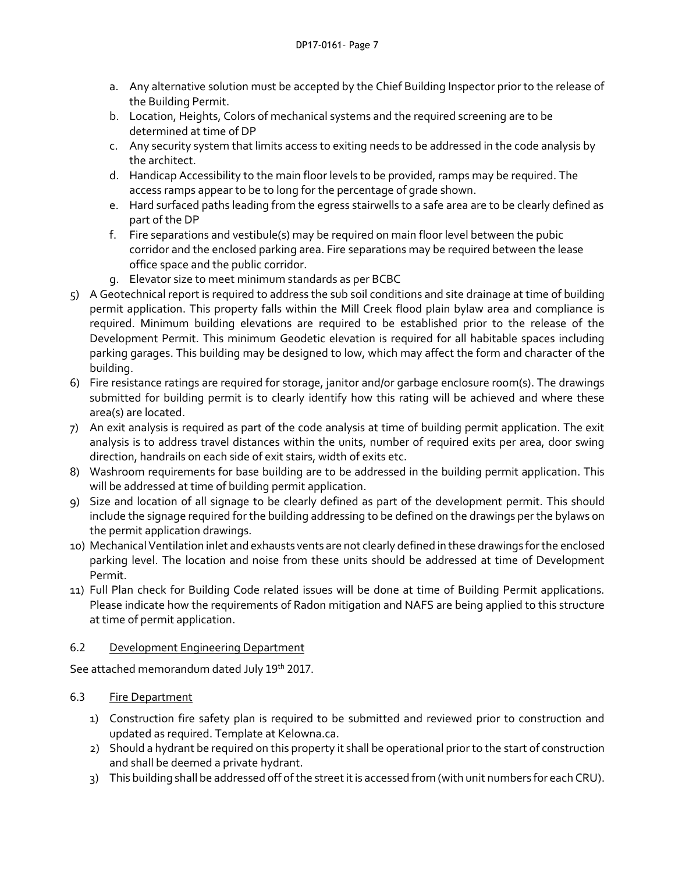- a. Any alternative solution must be accepted by the Chief Building Inspector prior to the release of the Building Permit.
- b. Location, Heights, Colors of mechanical systems and the required screening are to be determined at time of DP
- c. Any security system that limits access to exiting needs to be addressed in the code analysis by the architect.
- d. Handicap Accessibility to the main floor levels to be provided, ramps may be required. The access ramps appear to be to long for the percentage of grade shown.
- e. Hard surfaced paths leading from the egress stairwells to a safe area are to be clearly defined as part of the DP
- f. Fire separations and vestibule(s) may be required on main floor level between the pubic corridor and the enclosed parking area. Fire separations may be required between the lease office space and the public corridor.
- g. Elevator size to meet minimum standards as per BCBC
- 5) A Geotechnical report is required to address the sub soil conditions and site drainage at time of building permit application. This property falls within the Mill Creek flood plain bylaw area and compliance is required. Minimum building elevations are required to be established prior to the release of the Development Permit. This minimum Geodetic elevation is required for all habitable spaces including parking garages. This building may be designed to low, which may affect the form and character of the building.
- 6) Fire resistance ratings are required for storage, janitor and/or garbage enclosure room(s). The drawings submitted for building permit is to clearly identify how this rating will be achieved and where these area(s) are located.
- 7) An exit analysis is required as part of the code analysis at time of building permit application. The exit analysis is to address travel distances within the units, number of required exits per area, door swing direction, handrails on each side of exit stairs, width of exits etc.
- 8) Washroom requirements for base building are to be addressed in the building permit application. This will be addressed at time of building permit application.
- 9) Size and location of all signage to be clearly defined as part of the development permit. This should include the signage required for the building addressing to be defined on the drawings per the bylaws on the permit application drawings.
- 10) Mechanical Ventilation inlet and exhausts vents are not clearly defined in these drawings for the enclosed parking level. The location and noise from these units should be addressed at time of Development Permit.
- 11) Full Plan check for Building Code related issues will be done at time of Building Permit applications. Please indicate how the requirements of Radon mitigation and NAFS are being applied to this structure at time of permit application.

# 6.2 Development Engineering Department

See attached memorandum dated July 19th 2017.

# 6.3 Fire Department

- 1) Construction fire safety plan is required to be submitted and reviewed prior to construction and updated as required. Template at Kelowna.ca.
- 2) Should a hydrant be required on this property it shall be operational prior to the start of construction and shall be deemed a private hydrant.
- 3) This building shall be addressed off of the street it is accessed from (with unit numbers for each CRU).